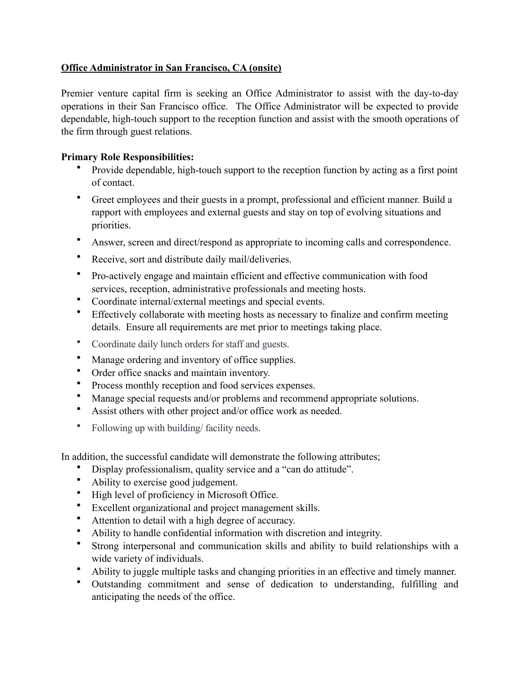## **Office Administrator in San Francisco, CA (onsite)**

Premier venture capital firm is seeking an Office Administrator to assist with the day-to-day operations in their San Francisco office. The Office Administrator will be expected to provide dependable, high-touch support to the reception function and assist with the smooth operations of the firm through guest relations.

## **Primary Role Responsibilities:**

- Provide dependable, high-touch support to the reception function by acting as a first point of contact.
- Greet employees and their guests in a prompt, professional and efficient manner. Build a rapport with employees and external guests and stay on top of evolving situations and priorities.
- Answer, screen and direct/respond as appropriate to incoming calls and correspondence.
- Receive, sort and distribute daily mail/deliveries.
- Pro-actively engage and maintain efficient and effective communication with food services, reception, administrative professionals and meeting hosts.
- Coordinate internal/external meetings and special events.
- Effectively collaborate with meeting hosts as necessary to finalize and confirm meeting details. Ensure all requirements are met prior to meetings taking place.
- Coordinate daily lunch orders for staff and guests.
- Manage ordering and inventory of office supplies.
- Order office snacks and maintain inventory.
- Process monthly reception and food services expenses.
- Manage special requests and/or problems and recommend appropriate solutions.
- Assist others with other project and/or office work as needed.
- Following up with building/ facility needs.

In addition, the successful candidate will demonstrate the following attributes;

- Display professionalism, quality service and a "can do attitude".
- Ability to exercise good judgement.
- High level of proficiency in Microsoft Office.
- Excellent organizational and project management skills.
- Attention to detail with a high degree of accuracy.
- Ability to handle confidential information with discretion and integrity.
- Strong interpersonal and communication skills and ability to build relationships with a wide variety of individuals.
- Ability to juggle multiple tasks and changing priorities in an effective and timely manner.
- Outstanding commitment and sense of dedication to understanding, fulfilling and anticipating the needs of the office.